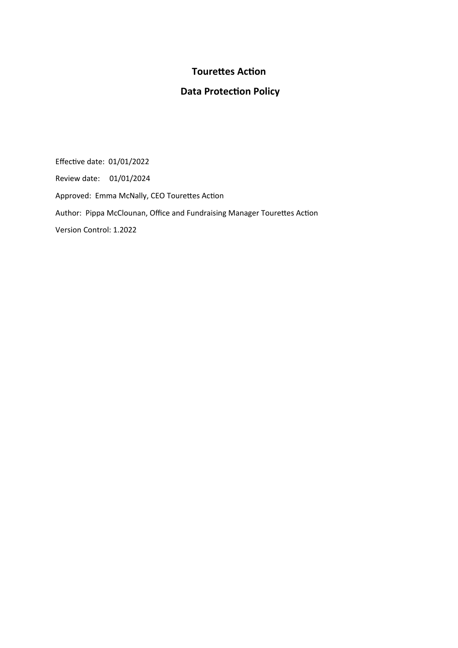# **Tourettes Action**

# **Data Protection Policy**

Effective date: 01/01/2022 Review date: 01/01/2024 Approved: Emma McNally, CEO Tourettes Action Author: Pippa McClounan, Office and Fundraising Manager Tourettes Action Version Control: 1.2022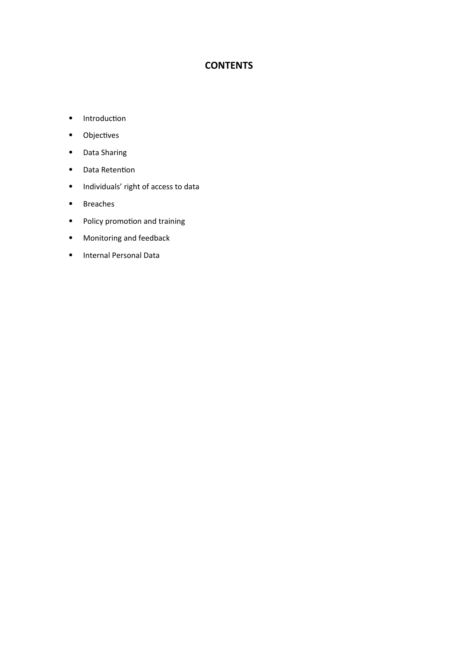# **CONTENTS**

- Introduction
- Objectives
- Data Sharing
- Data Retention
- Individuals' right of access to data
- Breaches
- Policy promotion and training
- Monitoring and feedback
- Internal Personal Data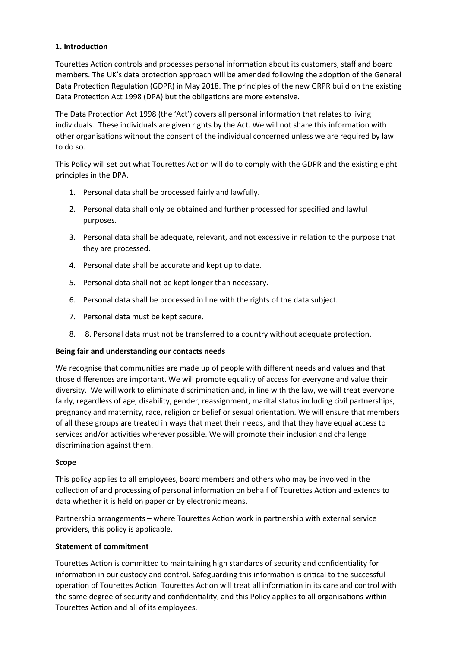# **1. Introduction**

Tourettes Action controls and processes personal information about its customers, staff and board members. The UK's data protection approach will be amended following the adoption of the General Data Protection Regulation (GDPR) in May 2018. The principles of the new GRPR build on the existing Data Protection Act 1998 (DPA) but the obligations are more extensive.

The Data Protection Act 1998 (the 'Act') covers all personal information that relates to living individuals. These individuals are given rights by the Act. We will not share this information with other organisations without the consent of the individual concerned unless we are required by law to do so.

This Policy will set out what Tourettes Action will do to comply with the GDPR and the existing eight principles in the DPA.

- 1. Personal data shall be processed fairly and lawfully.
- 2. Personal data shall only be obtained and further processed for specified and lawful purposes.
- 3. Personal data shall be adequate, relevant, and not excessive in relation to the purpose that they are processed.
- 4. Personal date shall be accurate and kept up to date.
- 5. Personal data shall not be kept longer than necessary.
- 6. Personal data shall be processed in line with the rights of the data subject.
- 7. Personal data must be kept secure.
- 8. 8. Personal data must not be transferred to a country without adequate protection.

#### **Being fair and understanding our contacts needs**

We recognise that communities are made up of people with different needs and values and that those differences are important. We will promote equality of access for everyone and value their diversity. We will work to eliminate discrimination and, in line with the law, we will treat everyone fairly, regardless of age, disability, gender, reassignment, marital status including civil partnerships, pregnancy and maternity, race, religion or belief or sexual orientation. We will ensure that members of all these groups are treated in ways that meet their needs, and that they have equal access to services and/or activities wherever possible. We will promote their inclusion and challenge discrimination against them.

#### **Scope**

This policy applies to all employees, board members and others who may be involved in the collection of and processing of personal information on behalf of Tourettes Action and extends to data whether it is held on paper or by electronic means.

Partnership arrangements – where Tourettes Action work in partnership with external service providers, this policy is applicable.

# **Statement of commitment**

Tourettes Action is committed to maintaining high standards of security and confidentiality for information in our custody and control. Safeguarding this information is critical to the successful operation of Tourettes Action. Tourettes Action will treat all information in its care and control with the same degree of security and confidentiality, and this Policy applies to all organisations within Tourettes Action and all of its employees.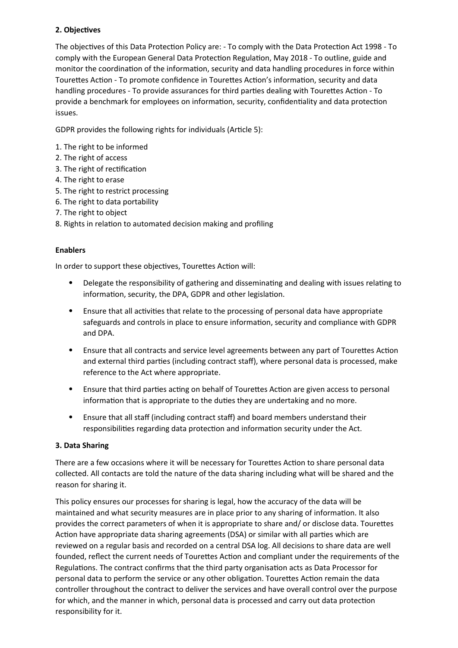# **2. Objectives**

The objectives of this Data Protection Policy are: - To comply with the Data Protection Act 1998 - To comply with the European General Data Protection Regulation, May 2018 - To outline, guide and monitor the coordination of the information, security and data handling procedures in force within Tourettes Action - To promote confidence in Tourettes Action's information, security and data handling procedures - To provide assurances for third parties dealing with Tourettes Action - To provide a benchmark for employees on information, security, confidentiality and data protection issues.

GDPR provides the following rights for individuals (Article 5):

- 1. The right to be informed
- 2. The right of access
- 3. The right of rectification
- 4. The right to erase
- 5. The right to restrict processing
- 6. The right to data portability
- 7. The right to object
- 8. Rights in relation to automated decision making and profiling

# **Enablers**

In order to support these objectives, Tourettes Action will:

- Delegate the responsibility of gathering and disseminating and dealing with issues relating to information, security, the DPA, GDPR and other legislation.
- Ensure that all activities that relate to the processing of personal data have appropriate safeguards and controls in place to ensure information, security and compliance with GDPR and DPA.
- Ensure that all contracts and service level agreements between any part of Tourettes Action and external third parties (including contract staff), where personal data is processed, make reference to the Act where appropriate.
- Ensure that third parties acting on behalf of Tourettes Action are given access to personal information that is appropriate to the duties they are undertaking and no more.
- Ensure that all staff (including contract staff) and board members understand their responsibilities regarding data protection and information security under the Act.

# **3. Data Sharing**

There are a few occasions where it will be necessary for Tourettes Action to share personal data collected. All contacts are told the nature of the data sharing including what will be shared and the reason for sharing it.

This policy ensures our processes for sharing is legal, how the accuracy of the data will be maintained and what security measures are in place prior to any sharing of information. It also provides the correct parameters of when it is appropriate to share and/ or disclose data. Tourettes Action have appropriate data sharing agreements (DSA) or similar with all parties which are reviewed on a regular basis and recorded on a central DSA log. All decisions to share data are well founded, reflect the current needs of Tourettes Action and compliant under the requirements of the Regulations. The contract confirms that the third party organisation acts as Data Processor for personal data to perform the service or any other obligation. Tourettes Action remain the data controller throughout the contract to deliver the services and have overall control over the purpose for which, and the manner in which, personal data is processed and carry out data protection responsibility for it.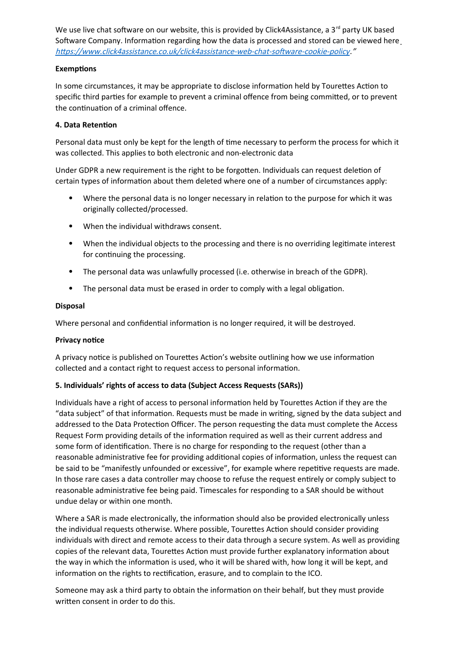We use live chat software on our website, this is provided by Click4Assistance, a  $3^{rd}$  party UK based Software Company. Information regarding how the data is processed and stored can be viewed here <https://www.click4assistance.co.uk/click4assistance-web-chat-software-cookie-policy>."

#### **Exemptions**

In some circumstances, it may be appropriate to disclose information held by Tourettes Action to specific third parties for example to prevent a criminal offence from being committed, or to prevent the continuation of a criminal offence.

# **4. Data Retention**

Personal data must only be kept for the length of time necessary to perform the process for which it was collected. This applies to both electronic and non-electronic data

Under GDPR a new requirement is the right to be forgotten. Individuals can request deletion of certain types of information about them deleted where one of a number of circumstances apply:

- Where the personal data is no longer necessary in relation to the purpose for which it was originally collected/processed.
- When the individual withdraws consent.
- When the individual objects to the processing and there is no overriding legitimate interest for continuing the processing.
- The personal data was unlawfully processed (i.e. otherwise in breach of the GDPR).
- The personal data must be erased in order to comply with a legal obligation.

#### **Disposal**

Where personal and confidential information is no longer required, it will be destroyed.

#### **Privacy notice**

A privacy notice is published on Tourettes Action's website outlining how we use information collected and a contact right to request access to personal information.

# **5. Individuals' rights of access to data (Subject Access Requests (SARs))**

Individuals have a right of access to personal information held by Tourettes Action if they are the "data subject" of that information. Requests must be made in writing, signed by the data subject and addressed to the Data Protection Officer. The person requesting the data must complete the Access Request Form providing details of the information required as well as their current address and some form of identification. There is no charge for responding to the request (other than a reasonable administrative fee for providing additional copies of information, unless the request can be said to be "manifestly unfounded or excessive", for example where repetitive requests are made. In those rare cases a data controller may choose to refuse the request entirely or comply subject to reasonable administrative fee being paid. Timescales for responding to a SAR should be without undue delay or within one month.

Where a SAR is made electronically, the information should also be provided electronically unless the individual requests otherwise. Where possible, Tourettes Action should consider providing individuals with direct and remote access to their data through a secure system. As well as providing copies of the relevant data, Tourettes Action must provide further explanatory information about the way in which the information is used, who it will be shared with, how long it will be kept, and information on the rights to rectification, erasure, and to complain to the ICO.

Someone may ask a third party to obtain the information on their behalf, but they must provide written consent in order to do this.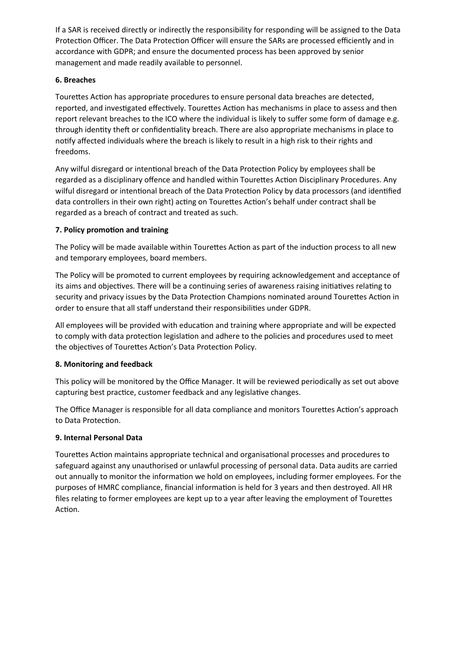If a SAR is received directly or indirectly the responsibility for responding will be assigned to the Data Protection Officer. The Data Protection Officer will ensure the SARs are processed efficiently and in accordance with GDPR; and ensure the documented process has been approved by senior management and made readily available to personnel.

# **6. Breaches**

Tourettes Action has appropriate procedures to ensure personal data breaches are detected, reported, and investigated effectively. Tourettes Action has mechanisms in place to assess and then report relevant breaches to the ICO where the individual is likely to suffer some form of damage e.g. through identity theft or confidentiality breach. There are also appropriate mechanisms in place to notify affected individuals where the breach is likely to result in a high risk to their rights and freedoms.

Any wilful disregard or intentional breach of the Data Protection Policy by employees shall be regarded as a disciplinary offence and handled within Tourettes Action Disciplinary Procedures. Any wilful disregard or intentional breach of the Data Protection Policy by data processors (and identified data controllers in their own right) acting on Tourettes Action's behalf under contract shall be regarded as a breach of contract and treated as such.

# **7. Policy promotion and training**

The Policy will be made available within Tourettes Action as part of the induction process to all new and temporary employees, board members.

The Policy will be promoted to current employees by requiring acknowledgement and acceptance of its aims and objectives. There will be a continuing series of awareness raising initiatives relating to security and privacy issues by the Data Protection Champions nominated around Tourettes Action in order to ensure that all staff understand their responsibilities under GDPR.

All employees will be provided with education and training where appropriate and will be expected to comply with data protection legislation and adhere to the policies and procedures used to meet the objectives of Tourettes Action's Data Protection Policy.

# **8. Monitoring and feedback**

This policy will be monitored by the Office Manager. It will be reviewed periodically as set out above capturing best practice, customer feedback and any legislative changes.

The Office Manager is responsible for all data compliance and monitors Tourettes Action's approach to Data Protection.

# **9. Internal Personal Data**

Tourettes Action maintains appropriate technical and organisational processes and procedures to safeguard against any unauthorised or unlawful processing of personal data. Data audits are carried out annually to monitor the information we hold on employees, including former employees. For the purposes of HMRC compliance, financial information is held for 3 years and then destroyed. All HR files relating to former employees are kept up to a year after leaving the employment of Tourettes Action.